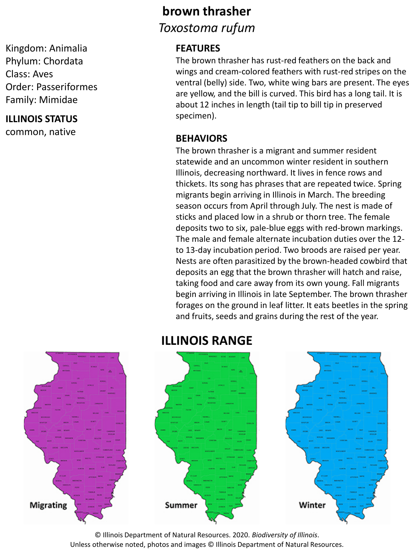Kingdom: Animalia Phylum: Chordata Class: Aves Order: Passeriformes Family: Mimidae

#### **ILLINOIS STATUS**

common, native

## **brown thrasher** *Toxostoma rufum*

#### **FEATURES**

The brown thrasher has rust-red feathers on the back and wings and cream-colored feathers with rust-red stripes on the ventral (belly) side. Two, white wing bars are present. The eyes are yellow, and the bill is curved. This bird has a long tail. It is about 12 inches in length (tail tip to bill tip in preserved specimen).

#### **BEHAVIORS**

The brown thrasher is a migrant and summer resident statewide and an uncommon winter resident in southern Illinois, decreasing northward. It lives in fence rows and thickets. Its song has phrases that are repeated twice. Spring migrants begin arriving in Illinois in March. The breeding season occurs from April through July. The nest is made of sticks and placed low in a shrub or thorn tree. The female deposits two to six, pale-blue eggs with red-brown markings. The male and female alternate incubation duties over the 12 to 13-day incubation period. Two broods are raised per year. Nests are often parasitized by the brown-headed cowbird that deposits an egg that the brown thrasher will hatch and raise, taking food and care away from its own young. Fall migrants begin arriving in Illinois in late September. The brown thrasher forages on the ground in leaf litter. It eats beetles in the spring and fruits, seeds and grains during the rest of the year.

# **Migrating** Summer Winter

**ILLINOIS RANGE**

#### © Illinois Department of Natural Resources. 2020. *Biodiversity of Illinois*. Unless otherwise noted, photos and images © Illinois Department of Natural Resources.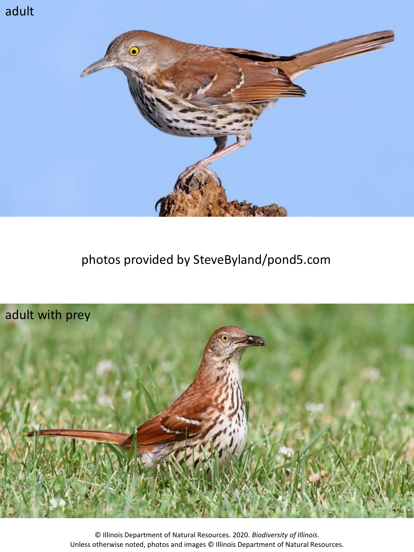# adult



# photos provided by SteveByland/pond5.com



© Illinois Department of Natural Resources. 2020. *Biodiversity of Illinois*. Unless otherwise noted, photos and images © Illinois Department of Natural Resources.